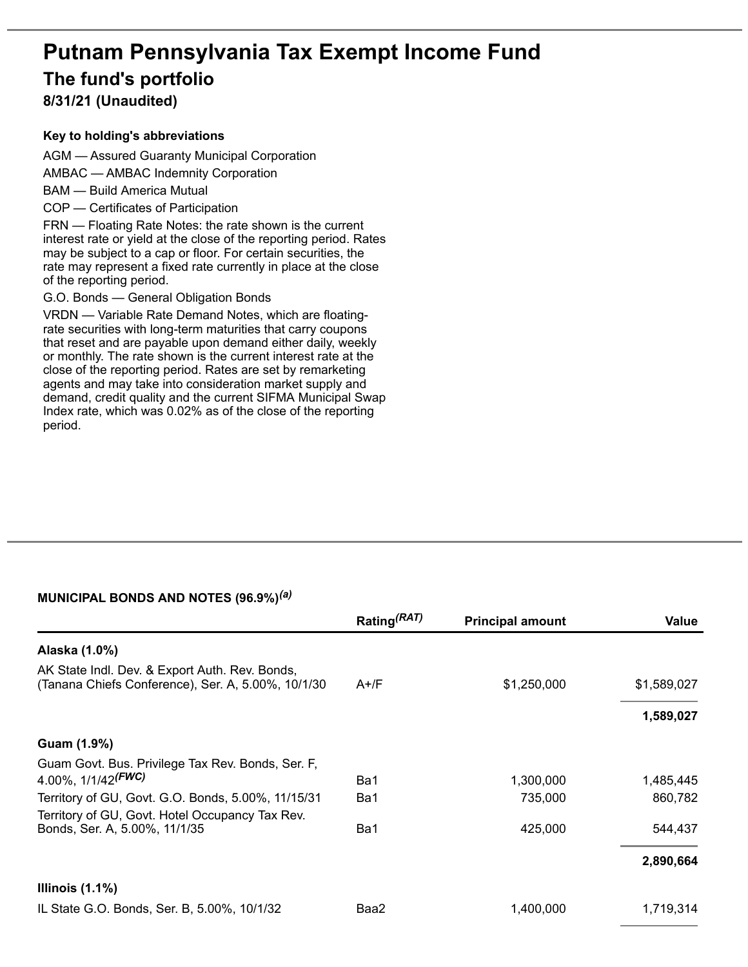# **Putnam Pennsylvania Tax Exempt Income Fund The fund's portfolio**

**8/31/21 (Unaudited)**

#### **Key to holding's abbreviations**

AGM — Assured Guaranty Municipal Corporation

AMBAC — AMBAC Indemnity Corporation

BAM — Build America Mutual

COP — Certificates of Participation

FRN — Floating Rate Notes: the rate shown is the current interest rate or yield at the close of the reporting period. Rates may be subject to a cap or floor. For certain securities, the rate may represent a fixed rate currently in place at the close of the reporting period.

G.O. Bonds — General Obligation Bonds

VRDN — Variable Rate Demand Notes, which are floatingrate securities with long-term maturities that carry coupons that reset and are payable upon demand either daily, weekly or monthly. The rate shown is the current interest rate at the close of the reporting period. Rates are set by remarketing agents and may take into consideration market supply and demand, credit quality and the current SIFMA Municipal Swap Index rate, which was 0.02% as of the close of the reporting period.

## **MUNICIPAL BONDS AND NOTES (96.9%)** *(a)*

|                                                                                                       | Rating <sup>(RAT)</sup> | <b>Principal amount</b> | Value       |
|-------------------------------------------------------------------------------------------------------|-------------------------|-------------------------|-------------|
| Alaska (1.0%)                                                                                         |                         |                         |             |
| AK State Indl. Dev. & Export Auth. Rev. Bonds,<br>(Tanana Chiefs Conference), Ser. A, 5.00%, 10/1/30  | $A+$ /F                 | \$1,250,000             | \$1,589,027 |
|                                                                                                       |                         |                         | 1,589,027   |
| Guam (1.9%)                                                                                           |                         |                         |             |
| Guam Govt. Bus. Privilege Tax Rev. Bonds, Ser. F.<br>4.00%, $1/1/42$ <sup>(FWC)</sup>                 | Ba1                     | 1,300,000               | 1,485,445   |
| Territory of GU, Govt. G.O. Bonds, 5.00%, 11/15/31<br>Territory of GU, Govt. Hotel Occupancy Tax Rev. | Ba1                     | 735,000                 | 860,782     |
| Bonds, Ser. A, 5.00%, 11/1/35                                                                         | Ba1                     | 425,000                 | 544,437     |
|                                                                                                       |                         |                         | 2,890,664   |
| Illinois $(1.1\%)$                                                                                    |                         |                         |             |
| IL State G.O. Bonds, Ser. B, 5.00%, 10/1/32                                                           | Baa2                    | 1,400,000               | 1,719,314   |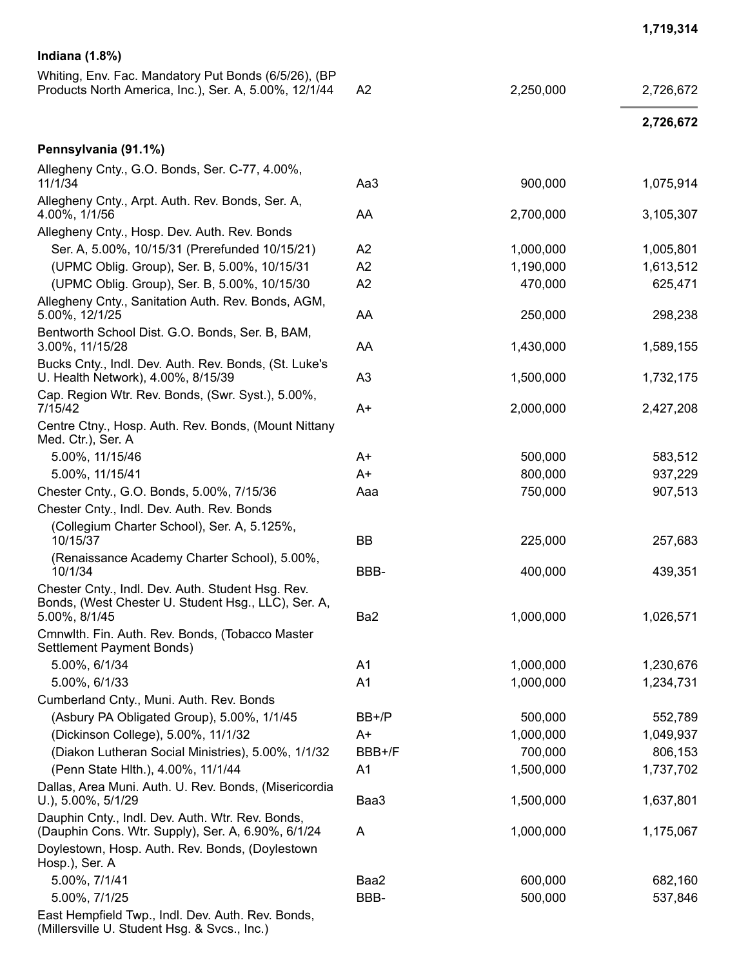| <b>Indiana (1.8%)</b>                                                                                         |                 |           |           |
|---------------------------------------------------------------------------------------------------------------|-----------------|-----------|-----------|
| Whiting, Env. Fac. Mandatory Put Bonds (6/5/26), (BP<br>Products North America, Inc.), Ser. A, 5.00%, 12/1/44 | A <sub>2</sub>  | 2,250,000 | 2,726,672 |
|                                                                                                               |                 |           | 2,726,672 |
| Pennsylvania (91.1%)                                                                                          |                 |           |           |
| Allegheny Cnty., G.O. Bonds, Ser. C-77, 4.00%,<br>11/1/34                                                     | Aa3             | 900,000   | 1,075,914 |
| Allegheny Cnty., Arpt. Auth. Rev. Bonds, Ser. A,<br>4.00%, 1/1/56                                             | AA              | 2,700,000 | 3,105,307 |
| Allegheny Cnty., Hosp. Dev. Auth. Rev. Bonds                                                                  |                 |           |           |
| Ser. A, 5.00%, 10/15/31 (Prerefunded 10/15/21)                                                                | A2              | 1,000,000 | 1,005,801 |
| (UPMC Oblig. Group), Ser. B, 5.00%, 10/15/31                                                                  | A2              | 1,190,000 | 1,613,512 |
| (UPMC Oblig. Group), Ser. B, 5.00%, 10/15/30                                                                  | A2              | 470,000   | 625,471   |
| Allegheny Cnty., Sanitation Auth. Rev. Bonds, AGM,<br>5.00%, 12/1/25                                          | AA              | 250,000   | 298,238   |
| Bentworth School Dist. G.O. Bonds, Ser. B, BAM,<br>3.00%, 11/15/28                                            | AA              | 1,430,000 | 1,589,155 |
| Bucks Cnty., Indl. Dev. Auth. Rev. Bonds, (St. Luke's<br>U. Health Network), 4.00%, 8/15/39                   | A <sub>3</sub>  | 1,500,000 | 1,732,175 |
| Cap. Region Wtr. Rev. Bonds, (Swr. Syst.), 5.00%,<br>7/15/42                                                  | $A+$            | 2,000,000 | 2,427,208 |
| Centre Ctny., Hosp. Auth. Rev. Bonds, (Mount Nittany<br>Med. Ctr.), Ser. A                                    |                 |           |           |
| 5.00%, 11/15/46                                                                                               | A+              | 500,000   | 583,512   |
| 5.00%, 11/15/41                                                                                               | $A+$            | 800,000   | 937,229   |
| Chester Cnty., G.O. Bonds, 5.00%, 7/15/36                                                                     | Aaa             | 750,000   | 907,513   |
| Chester Cnty., Indl. Dev. Auth. Rev. Bonds                                                                    |                 |           |           |
| (Collegium Charter School), Ser. A, 5.125%,<br>10/15/37                                                       | BB              | 225,000   | 257,683   |
| (Renaissance Academy Charter School), 5.00%,<br>10/1/34                                                       | BBB-            | 400,000   | 439,351   |
| Chester Cnty., Indl. Dev. Auth. Student Hsg. Rev.<br>Bonds, (West Chester U. Student Hsg., LLC), Ser. A,      |                 |           |           |
| 5.00%, 8/1/45<br>Cmnwlth. Fin. Auth. Rev. Bonds, (Tobacco Master<br>Settlement Payment Bonds)                 | Ba <sub>2</sub> | 1,000,000 | 1,026,571 |
| 5.00%, 6/1/34                                                                                                 | A1              | 1,000,000 | 1,230,676 |
| 5.00%, 6/1/33                                                                                                 | A <sub>1</sub>  | 1,000,000 | 1,234,731 |
| Cumberland Cnty., Muni. Auth. Rev. Bonds                                                                      |                 |           |           |
| (Asbury PA Obligated Group), 5.00%, 1/1/45                                                                    | BB+/P           | 500,000   | 552,789   |
| (Dickinson College), 5.00%, 11/1/32                                                                           | A+              | 1,000,000 | 1,049,937 |
| (Diakon Lutheran Social Ministries), 5.00%, 1/1/32                                                            | BBB+/F          | 700,000   | 806,153   |
| (Penn State Hlth.), 4.00%, 11/1/44                                                                            | A <sub>1</sub>  | 1,500,000 | 1,737,702 |
| Dallas, Area Muni. Auth. U. Rev. Bonds, (Misericordia<br>U.), $5.00\%$ , $5/1/29$                             | Baa3            | 1,500,000 | 1,637,801 |
| Dauphin Cnty., Indl. Dev. Auth. Wtr. Rev. Bonds,<br>(Dauphin Cons. Wtr. Supply), Ser. A, 6.90%, 6/1/24        | A               | 1,000,000 | 1,175,067 |
| Doylestown, Hosp. Auth. Rev. Bonds, (Doylestown<br>Hosp.), Ser. A                                             |                 |           |           |
| 5.00%, 7/1/41                                                                                                 | Baa2            | 600,000   | 682,160   |
| 5.00%, 7/1/25                                                                                                 | BBB-            | 500,000   | 537,846   |
| East Hempfield Twp., Indl. Dev. Auth. Rev. Bonds,                                                             |                 |           |           |

**1 , 7 1 9 , 3 1 4**

(Millersville U. Student Hsg. & Svcs., Inc.)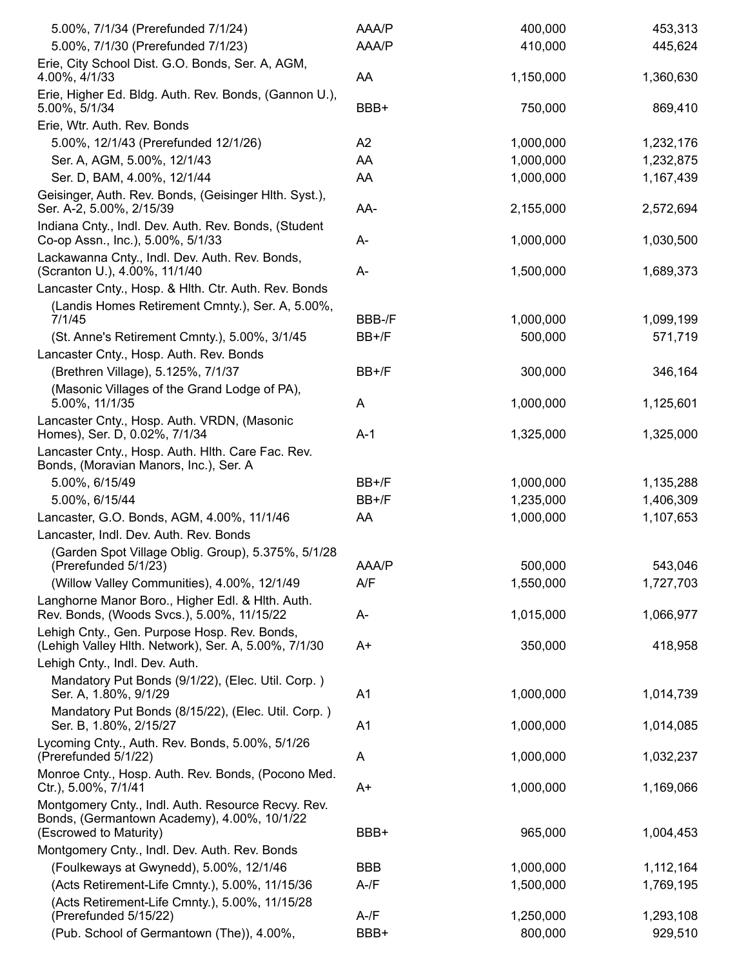| 5.00%, 7/1/34 (Prerefunded 7/1/24)                                                                                          | AAA/P          | 400,000   | 453,313   |
|-----------------------------------------------------------------------------------------------------------------------------|----------------|-----------|-----------|
| 5.00%, 7/1/30 (Prerefunded 7/1/23)                                                                                          | AAA/P          | 410,000   | 445,624   |
| Erie, City School Dist. G.O. Bonds, Ser. A, AGM,<br>4.00%, 4/1/33                                                           | AA             | 1,150,000 | 1,360,630 |
| Erie, Higher Ed. Bldg. Auth. Rev. Bonds, (Gannon U.),<br>5.00%, 5/1/34                                                      | BBB+           | 750,000   | 869,410   |
| Erie, Wtr. Auth. Rev. Bonds                                                                                                 |                |           |           |
| 5.00%, 12/1/43 (Prerefunded 12/1/26)                                                                                        | A2             | 1,000,000 | 1,232,176 |
| Ser. A, AGM, 5.00%, 12/1/43                                                                                                 | AA             | 1,000,000 | 1,232,875 |
| Ser. D, BAM, 4.00%, 12/1/44                                                                                                 | AA             | 1,000,000 | 1,167,439 |
| Geisinger, Auth. Rev. Bonds, (Geisinger Hlth. Syst.),                                                                       |                |           |           |
| Ser. A-2, 5.00%, 2/15/39                                                                                                    | AA-            | 2,155,000 | 2,572,694 |
| Indiana Cnty., Indl. Dev. Auth. Rev. Bonds, (Student<br>Co-op Assn., Inc.), 5.00%, 5/1/33                                   | A-             | 1,000,000 | 1,030,500 |
| Lackawanna Cnty., Indl. Dev. Auth. Rev. Bonds,<br>(Scranton U.), 4.00%, 11/1/40                                             | A-             | 1,500,000 | 1,689,373 |
| Lancaster Cnty., Hosp. & Hith. Ctr. Auth. Rev. Bonds                                                                        |                |           |           |
| (Landis Homes Retirement Cmnty.), Ser. A, 5.00%,<br>7/1/45                                                                  | BBB-/F         | 1,000,000 | 1,099,199 |
| (St. Anne's Retirement Cmnty.), 5.00%, 3/1/45                                                                               | BB+/F          | 500,000   | 571,719   |
| Lancaster Cnty., Hosp. Auth. Rev. Bonds                                                                                     |                |           |           |
| (Brethren Village), 5.125%, 7/1/37                                                                                          | BB+/F          | 300,000   | 346,164   |
| (Masonic Villages of the Grand Lodge of PA),                                                                                |                |           |           |
| 5.00%, 11/1/35                                                                                                              | A              | 1,000,000 | 1,125,601 |
| Lancaster Cnty., Hosp. Auth. VRDN, (Masonic<br>Homes), Ser. D, 0.02%, 7/1/34                                                | $A-1$          | 1,325,000 | 1,325,000 |
| Lancaster Cnty., Hosp. Auth. Hlth. Care Fac. Rev.<br>Bonds, (Moravian Manors, Inc.), Ser. A                                 |                |           |           |
| 5.00%, 6/15/49                                                                                                              | BB+/F          | 1,000,000 | 1,135,288 |
| 5.00%, 6/15/44                                                                                                              | BB+/F          | 1,235,000 | 1,406,309 |
| Lancaster, G.O. Bonds, AGM, 4.00%, 11/1/46                                                                                  | AA             | 1,000,000 | 1,107,653 |
| Lancaster, Indl. Dev. Auth. Rev. Bonds                                                                                      |                |           |           |
| (Garden Spot Village Oblig. Group), 5.375%, 5/1/28                                                                          |                |           |           |
| (Prerefunded 5/1/23)                                                                                                        | AAA/P          | 500,000   | 543,046   |
| (Willow Valley Communities), 4.00%, 12/1/49                                                                                 | A/F            | 1,550,000 | 1,727,703 |
| Langhorne Manor Boro., Higher Edl. & Hith. Auth.<br>Rev. Bonds, (Woods Svcs.), 5.00%, 11/15/22                              | A-             | 1,015,000 | 1,066,977 |
| Lehigh Cnty., Gen. Purpose Hosp. Rev. Bonds,<br>(Lehigh Valley Hlth. Network), Ser. A, 5.00%, 7/1/30                        | A+             | 350,000   | 418,958   |
| Lehigh Cnty., Indl. Dev. Auth.                                                                                              |                |           |           |
| Mandatory Put Bonds (9/1/22), (Elec. Util. Corp.)<br>Ser. A, 1.80%, 9/1/29                                                  | A <sub>1</sub> | 1,000,000 | 1,014,739 |
| Mandatory Put Bonds (8/15/22), (Elec. Util. Corp.)<br>Ser. B, 1.80%, 2/15/27                                                | A <sub>1</sub> | 1,000,000 | 1,014,085 |
| Lycoming Cnty., Auth. Rev. Bonds, 5.00%, 5/1/26                                                                             |                |           |           |
| (Prerefunded 5/1/22)<br>Monroe Cnty., Hosp. Auth. Rev. Bonds, (Pocono Med.                                                  | A              | 1,000,000 | 1,032,237 |
| Ctr.), 5.00%, 7/1/41                                                                                                        | A+             | 1,000,000 | 1,169,066 |
| Montgomery Cnty., Indl. Auth. Resource Recvy. Rev.<br>Bonds, (Germantown Academy), 4.00%, 10/1/22<br>(Escrowed to Maturity) | BBB+           | 965,000   | 1,004,453 |
| Montgomery Cnty., Indl. Dev. Auth. Rev. Bonds                                                                               |                |           |           |
| (Foulkeways at Gwynedd), 5.00%, 12/1/46                                                                                     | <b>BBB</b>     | 1,000,000 | 1,112,164 |
| (Acts Retirement-Life Cmnty.), 5.00%, 11/15/36                                                                              | $A - /F$       | 1,500,000 | 1,769,195 |
| (Acts Retirement-Life Cmnty.), 5.00%, 11/15/28                                                                              |                |           |           |
| (Prerefunded 5/15/22)                                                                                                       | $A-fF$         | 1,250,000 | 1,293,108 |
| (Pub. School of Germantown (The)), 4.00%,                                                                                   | BBB+           | 800,000   | 929,510   |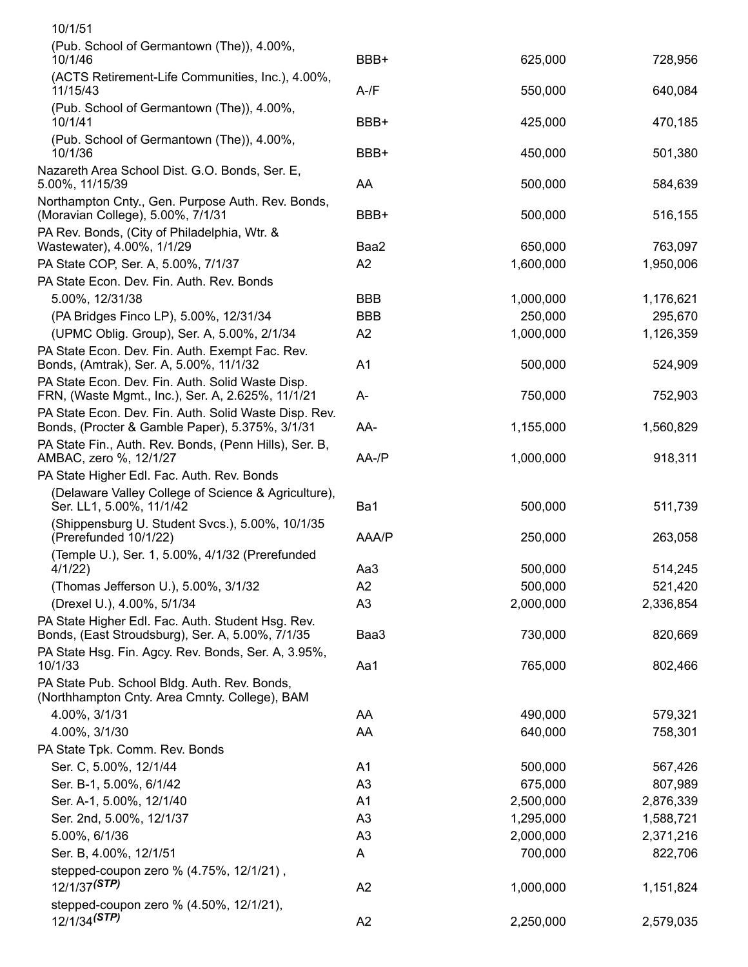| 10/1/51                                                                                                                                                      |                |           |           |
|--------------------------------------------------------------------------------------------------------------------------------------------------------------|----------------|-----------|-----------|
| (Pub. School of Germantown (The)), 4.00%,<br>10/1/46                                                                                                         | BBB+           | 625,000   | 728,956   |
| (ACTS Retirement-Life Communities, Inc.), 4.00%,<br>11/15/43                                                                                                 | $A-fF$         | 550,000   | 640,084   |
| (Pub. School of Germantown (The)), 4.00%,<br>10/1/41                                                                                                         | BBB+           | 425,000   | 470,185   |
| (Pub. School of Germantown (The)), 4.00%,<br>10/1/36                                                                                                         | BBB+           | 450,000   | 501,380   |
| Nazareth Area School Dist. G.O. Bonds, Ser. E,<br>5.00%, 11/15/39                                                                                            | AA             | 500,000   | 584,639   |
| Northampton Cnty., Gen. Purpose Auth. Rev. Bonds,<br>(Moravian College), 5.00%, 7/1/31                                                                       | BBB+           | 500,000   | 516,155   |
| PA Rev. Bonds, (City of Philadelphia, Wtr. &<br>Wastewater), 4.00%, 1/1/29                                                                                   | Baa2           | 650,000   | 763,097   |
| PA State COP, Ser. A, 5.00%, 7/1/37                                                                                                                          | A2             | 1,600,000 | 1,950,006 |
| PA State Econ. Dev. Fin. Auth. Rev. Bonds                                                                                                                    |                |           |           |
| 5.00%, 12/31/38                                                                                                                                              | <b>BBB</b>     | 1,000,000 | 1,176,621 |
| (PA Bridges Finco LP), 5.00%, 12/31/34                                                                                                                       | <b>BBB</b>     | 250,000   | 295,670   |
| (UPMC Oblig. Group), Ser. A, 5.00%, 2/1/34                                                                                                                   | A2             | 1,000,000 | 1,126,359 |
| PA State Econ. Dev. Fin. Auth. Exempt Fac. Rev.<br>Bonds, (Amtrak), Ser. A, 5.00%, 11/1/32                                                                   | A <sub>1</sub> | 500,000   | 524,909   |
| PA State Econ. Dev. Fin. Auth. Solid Waste Disp.<br>FRN, (Waste Mgmt., Inc.), Ser. A, 2.625%, 11/1/21                                                        | A-             | 750,000   | 752,903   |
| PA State Econ. Dev. Fin. Auth. Solid Waste Disp. Rev.<br>Bonds, (Procter & Gamble Paper), 5.375%, 3/1/31                                                     | AA-            | 1,155,000 | 1,560,829 |
| PA State Fin., Auth. Rev. Bonds, (Penn Hills), Ser. B,<br>AMBAC, zero %, 12/1/27                                                                             | $AA$ -/ $P$    | 1,000,000 | 918,311   |
| PA State Higher Edl. Fac. Auth. Rev. Bonds                                                                                                                   |                |           |           |
| (Delaware Valley College of Science & Agriculture),<br>Ser. LL1, 5.00%, 11/1/42                                                                              | Ba1            | 500,000   | 511,739   |
| (Shippensburg U. Student Svcs.), 5.00%, 10/1/35<br>(Prerefunded 10/1/22)                                                                                     | AAA/P          | 250,000   | 263,058   |
| (Temple U.), Ser. 1, 5.00%, 4/1/32 (Prerefunded<br>4/1/22)                                                                                                   | Aa3            | 500,000   | 514,245   |
|                                                                                                                                                              | A2             | 500,000   |           |
| (Thomas Jefferson U.), 5.00%, 3/1/32                                                                                                                         |                |           | 521,420   |
| (Drexel U.), 4.00%, 5/1/34                                                                                                                                   | A3             | 2,000,000 | 2,336,854 |
| PA State Higher Edl. Fac. Auth. Student Hsg. Rev.<br>Bonds, (East Stroudsburg), Ser. A, 5.00%, 7/1/35<br>PA State Hsg. Fin. Agcy. Rev. Bonds, Ser. A, 3.95%, | Baa3           | 730,000   | 820,669   |
| 10/1/33                                                                                                                                                      | Aa1            | 765,000   | 802,466   |
| PA State Pub. School Bldg. Auth. Rev. Bonds,<br>(Northhampton Cnty. Area Cmnty. College), BAM                                                                |                |           |           |
| 4.00%, 3/1/31                                                                                                                                                | AA             | 490,000   | 579,321   |
| 4.00%, 3/1/30                                                                                                                                                | AA             | 640,000   | 758,301   |
| PA State Tpk. Comm. Rev. Bonds                                                                                                                               |                |           |           |
| Ser. C, 5.00%, 12/1/44                                                                                                                                       | A <sub>1</sub> | 500,000   | 567,426   |
| Ser. B-1, 5.00%, 6/1/42                                                                                                                                      | A3             | 675,000   | 807,989   |
| Ser. A-1, 5.00%, 12/1/40                                                                                                                                     | A1             | 2,500,000 | 2,876,339 |
|                                                                                                                                                              |                |           |           |
| Ser. 2nd, 5.00%, 12/1/37                                                                                                                                     | A <sub>3</sub> | 1,295,000 | 1,588,721 |
| 5.00%, 6/1/36                                                                                                                                                | A <sub>3</sub> | 2,000,000 | 2,371,216 |
| Ser. B, 4.00%, 12/1/51                                                                                                                                       | A              | 700,000   | 822,706   |
| stepped-coupon zero % (4.75%, 12/1/21),<br>$12/1/37$ <sup>(STP)</sup>                                                                                        | A2             | 1,000,000 | 1,151,824 |
| stepped-coupon zero % (4.50%, 12/1/21),                                                                                                                      |                |           |           |
| 12/1/34 <sup>(STP)</sup>                                                                                                                                     | A2             | 2,250,000 | 2,579,035 |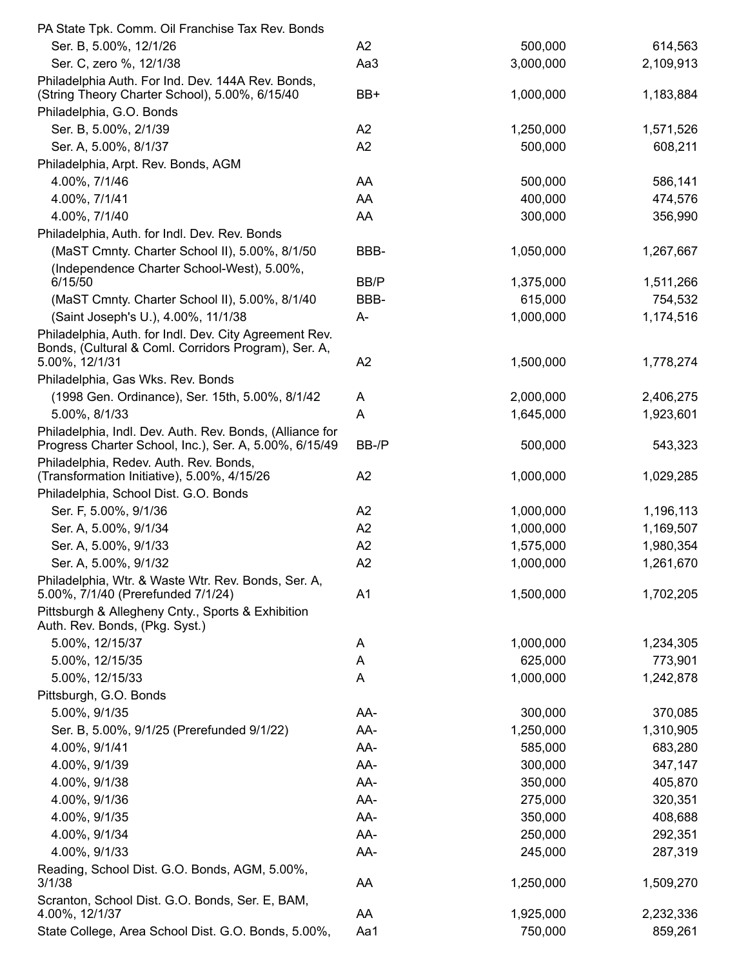| PA State Tpk. Comm. Oil Franchise Tax Rev. Bonds                                                                   |                |           |           |
|--------------------------------------------------------------------------------------------------------------------|----------------|-----------|-----------|
| Ser. B, 5.00%, 12/1/26                                                                                             | A2             | 500,000   | 614,563   |
| Ser. C, zero %, 12/1/38                                                                                            | Aa3            | 3,000,000 | 2,109,913 |
| Philadelphia Auth. For Ind. Dev. 144A Rev. Bonds,<br>(String Theory Charter School), 5.00%, 6/15/40                | BB+            | 1,000,000 | 1,183,884 |
| Philadelphia, G.O. Bonds                                                                                           |                |           |           |
| Ser. B, 5.00%, 2/1/39                                                                                              | A2             | 1,250,000 | 1,571,526 |
| Ser. A, 5.00%, 8/1/37                                                                                              | A2             | 500,000   | 608,211   |
| Philadelphia, Arpt. Rev. Bonds, AGM                                                                                |                |           |           |
| 4.00%, 7/1/46                                                                                                      | AA             | 500,000   | 586,141   |
| 4.00%, 7/1/41                                                                                                      | AA             | 400,000   | 474,576   |
| 4.00%, 7/1/40                                                                                                      | AA             | 300,000   | 356,990   |
| Philadelphia, Auth. for Indl. Dev. Rev. Bonds                                                                      |                |           |           |
| (MaST Cmnty. Charter School II), 5.00%, 8/1/50                                                                     | BBB-           | 1,050,000 | 1,267,667 |
| (Independence Charter School-West), 5.00%,                                                                         |                |           |           |
| 6/15/50                                                                                                            | BB/P           | 1,375,000 | 1,511,266 |
| (MaST Cmnty. Charter School II), 5.00%, 8/1/40                                                                     | BBB-           | 615,000   | 754,532   |
| (Saint Joseph's U.), 4.00%, 11/1/38                                                                                | A-             | 1,000,000 | 1,174,516 |
| Philadelphia, Auth. for Indl. Dev. City Agreement Rev.                                                             |                |           |           |
| Bonds, (Cultural & Coml. Corridors Program), Ser. A,                                                               |                |           |           |
| 5.00%, 12/1/31                                                                                                     | A2             | 1,500,000 | 1,778,274 |
| Philadelphia, Gas Wks. Rev. Bonds                                                                                  |                |           |           |
| (1998 Gen. Ordinance), Ser. 15th, 5.00%, 8/1/42                                                                    | A              | 2,000,000 | 2,406,275 |
| 5.00%, 8/1/33                                                                                                      | A              | 1,645,000 | 1,923,601 |
| Philadelphia, Indl. Dev. Auth. Rev. Bonds, (Alliance for<br>Progress Charter School, Inc.), Ser. A, 5.00%, 6/15/49 | BB-/P          | 500,000   | 543,323   |
| Philadelphia, Redev. Auth. Rev. Bonds,<br>(Transformation Initiative), 5.00%, 4/15/26                              | A2             | 1,000,000 | 1,029,285 |
| Philadelphia, School Dist. G.O. Bonds                                                                              |                |           |           |
| Ser. F, 5.00%, 9/1/36                                                                                              | A <sub>2</sub> | 1,000,000 | 1,196,113 |
| Ser. A, 5.00%, 9/1/34                                                                                              | A2             | 1,000,000 | 1,169,507 |
| Ser. A, 5.00%, 9/1/33                                                                                              | A2             | 1,575,000 | 1,980,354 |
| Ser. A, 5.00%, 9/1/32                                                                                              | A2             | 1,000,000 | 1,261,670 |
| Philadelphia, Wtr. & Waste Wtr. Rev. Bonds, Ser. A,<br>5.00%, 7/1/40 (Prerefunded 7/1/24)                          | A <sub>1</sub> | 1,500,000 | 1,702,205 |
| Pittsburgh & Allegheny Cnty., Sports & Exhibition<br>Auth. Rev. Bonds, (Pkg. Syst.)                                |                |           |           |
| 5.00%, 12/15/37                                                                                                    | A              | 1,000,000 | 1,234,305 |
| 5.00%, 12/15/35                                                                                                    | A              | 625,000   | 773,901   |
| 5.00%, 12/15/33                                                                                                    | A              | 1,000,000 | 1,242,878 |
| Pittsburgh, G.O. Bonds                                                                                             |                |           |           |
| 5.00%, 9/1/35                                                                                                      | AA-            | 300,000   | 370,085   |
| Ser. B, 5.00%, 9/1/25 (Prerefunded 9/1/22)                                                                         | AA-            | 1,250,000 | 1,310,905 |
| 4.00%, 9/1/41                                                                                                      | AA-            | 585,000   | 683,280   |
| 4.00%, 9/1/39                                                                                                      | AA-            | 300,000   | 347,147   |
| 4.00%, 9/1/38                                                                                                      | AA-            | 350,000   | 405,870   |
| 4.00%, 9/1/36                                                                                                      | AA-            | 275,000   | 320,351   |
| 4.00%, 9/1/35                                                                                                      | AA-            | 350,000   | 408,688   |
| 4.00%, 9/1/34                                                                                                      | AA-            | 250,000   | 292,351   |
| 4.00%, 9/1/33                                                                                                      | AA-            | 245,000   | 287,319   |
| Reading, School Dist. G.O. Bonds, AGM, 5.00%,                                                                      |                |           |           |
| 3/1/38                                                                                                             | AA             | 1,250,000 | 1,509,270 |
| Scranton, School Dist. G.O. Bonds, Ser. E, BAM,                                                                    |                |           |           |
| 4.00%, 12/1/37                                                                                                     | AA             | 1,925,000 | 2,232,336 |
| State College, Area School Dist. G.O. Bonds, 5.00%,                                                                | Aa1            | 750,000   | 859,261   |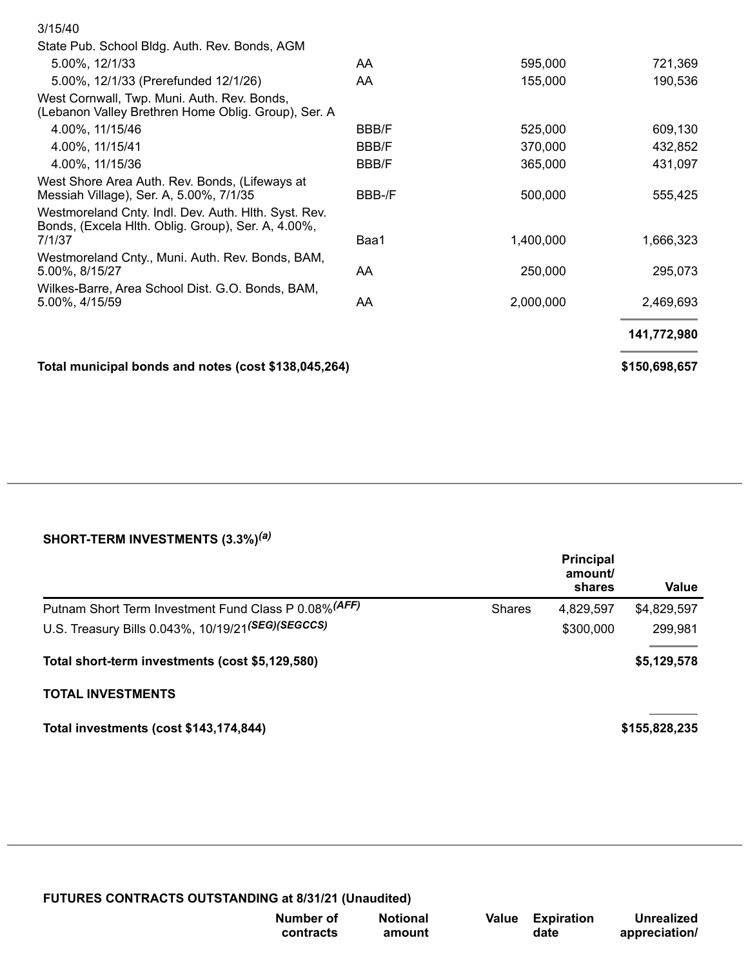| 3/15/40                                                                                                              |              |           |               |
|----------------------------------------------------------------------------------------------------------------------|--------------|-----------|---------------|
| State Pub. School Bldg. Auth. Rev. Bonds, AGM                                                                        |              |           |               |
| 5.00%, 12/1/33                                                                                                       | AA           | 595,000   | 721,369       |
| 5.00%, 12/1/33 (Prerefunded 12/1/26)                                                                                 | AA           | 155,000   | 190,536       |
| West Cornwall, Twp. Muni. Auth. Rev. Bonds,<br>(Lebanon Valley Brethren Home Oblig. Group), Ser. A                   |              |           |               |
| 4.00%, 11/15/46                                                                                                      | <b>BBB/F</b> | 525,000   | 609,130       |
| 4.00%, 11/15/41                                                                                                      | <b>BBB/F</b> | 370,000   | 432,852       |
| 4.00%, 11/15/36                                                                                                      | <b>BBB/F</b> | 365,000   | 431,097       |
| West Shore Area Auth. Rev. Bonds, (Lifeways at<br>Messiah Village), Ser. A, 5.00%, 7/1/35                            | BBB-/F       | 500,000   | 555,425       |
| Westmoreland Cnty. Indl. Dev. Auth. Hith. Syst. Rev.<br>Bonds, (Excela Hith. Oblig. Group), Ser. A, 4.00%,<br>7/1/37 | Baa1         | 1,400,000 | 1,666,323     |
| Westmoreland Cnty., Muni. Auth. Rev. Bonds, BAM,<br>5.00%, 8/15/27                                                   | AA.          | 250,000   | 295,073       |
| Wilkes-Barre, Area School Dist. G.O. Bonds, BAM,<br>5.00%, 4/15/59                                                   | AA.          | 2,000,000 | 2,469,693     |
|                                                                                                                      |              |           | 141,772,980   |
| Total municipal bonds and notes (cost \$138,045,264)                                                                 |              |           | \$150,698,657 |

## **SHORT-TERM INVESTMENTS (3.3%)** *(a)*

|                                                       |               | <b>Principal</b><br>amount/<br>shares | Value         |
|-------------------------------------------------------|---------------|---------------------------------------|---------------|
| Putnam Short Term Investment Fund Class P 0.08% (AFF) | <b>Shares</b> | 4,829,597                             | \$4,829,597   |
| U.S. Treasury Bills 0.043%, 10/19/21(SEG)(SEGCCS)     |               | \$300,000                             | 299,981       |
| Total short-term investments (cost \$5,129,580)       |               |                                       | \$5,129,578   |
| <b>TOTAL INVESTMENTS</b>                              |               |                                       |               |
| Total investments (cost \$143,174,844)                |               |                                       | \$155,828,235 |

| Number of | <b>Notional</b> |  |
|-----------|-----------------|--|
| contracts | amount          |  |

**Value Expiration date**

**Unrealized appreciation/**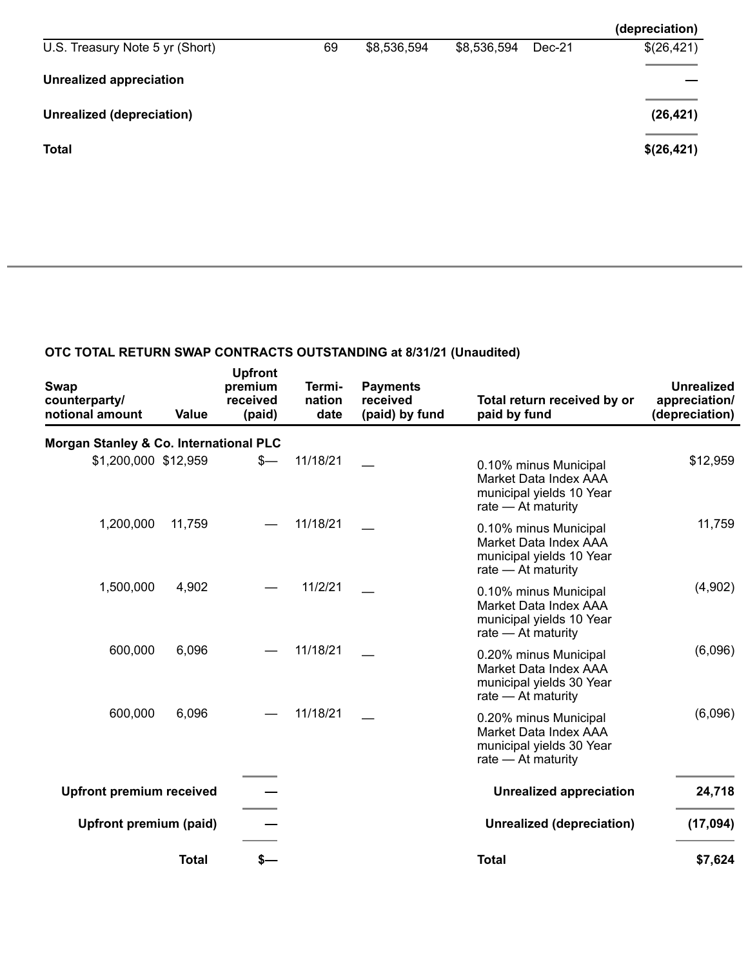|                                 |    |             |             |        | (depreciation) |
|---------------------------------|----|-------------|-------------|--------|----------------|
| U.S. Treasury Note 5 yr (Short) | 69 | \$8,536,594 | \$8,536,594 | Dec-21 | \$(26,421)     |
| <b>Unrealized appreciation</b>  |    |             |             |        |                |
| Unrealized (depreciation)       |    |             |             |        | (26, 421)      |
| <b>Total</b>                    |    |             |             |        | \$(26,421)     |
|                                 |    |             |             |        |                |

## **OTC TOTAL RETURN SWAP CONTRACTS OUTSTANDING at 8/31/21 (Unaudited)**

| <b>Swap</b><br>counterparty/<br>notional amount | Value        | <b>Upfront</b><br>premium<br>received<br>(paid) | Termi-<br>nation<br>date | <b>Payments</b><br>received<br>(paid) by fund | Total return received by or<br>paid by fund                                                        | <b>Unrealized</b><br>appreciation/<br>(depreciation) |
|-------------------------------------------------|--------------|-------------------------------------------------|--------------------------|-----------------------------------------------|----------------------------------------------------------------------------------------------------|------------------------------------------------------|
| Morgan Stanley & Co. International PLC          |              |                                                 |                          |                                               |                                                                                                    |                                                      |
| \$1,200,000 \$12,959                            |              | \$—                                             | 11/18/21                 |                                               | 0.10% minus Municipal<br>Market Data Index AAA<br>municipal yields 10 Year<br>rate - At maturity   | \$12,959                                             |
| 1,200,000                                       | 11,759       |                                                 | 11/18/21                 |                                               | 0.10% minus Municipal<br>Market Data Index AAA<br>municipal yields 10 Year<br>rate $-$ At maturity | 11,759                                               |
| 1,500,000                                       | 4,902        |                                                 | 11/2/21                  |                                               | 0.10% minus Municipal<br>Market Data Index AAA<br>municipal yields 10 Year<br>rate $-$ At maturity | (4,902)                                              |
| 600,000                                         | 6,096        |                                                 | 11/18/21                 |                                               | 0.20% minus Municipal<br>Market Data Index AAA<br>municipal yields 30 Year<br>rate $-$ At maturity | (6,096)                                              |
| 600,000                                         | 6,096        |                                                 | 11/18/21                 |                                               | 0.20% minus Municipal<br>Market Data Index AAA<br>municipal yields 30 Year<br>rate $-$ At maturity | (6,096)                                              |
| <b>Upfront premium received</b>                 |              |                                                 |                          |                                               | <b>Unrealized appreciation</b>                                                                     | 24,718                                               |
| Upfront premium (paid)                          |              |                                                 |                          |                                               | Unrealized (depreciation)                                                                          | (17,094)                                             |
|                                                 | <b>Total</b> | s—                                              |                          |                                               | <b>Total</b>                                                                                       | \$7,624                                              |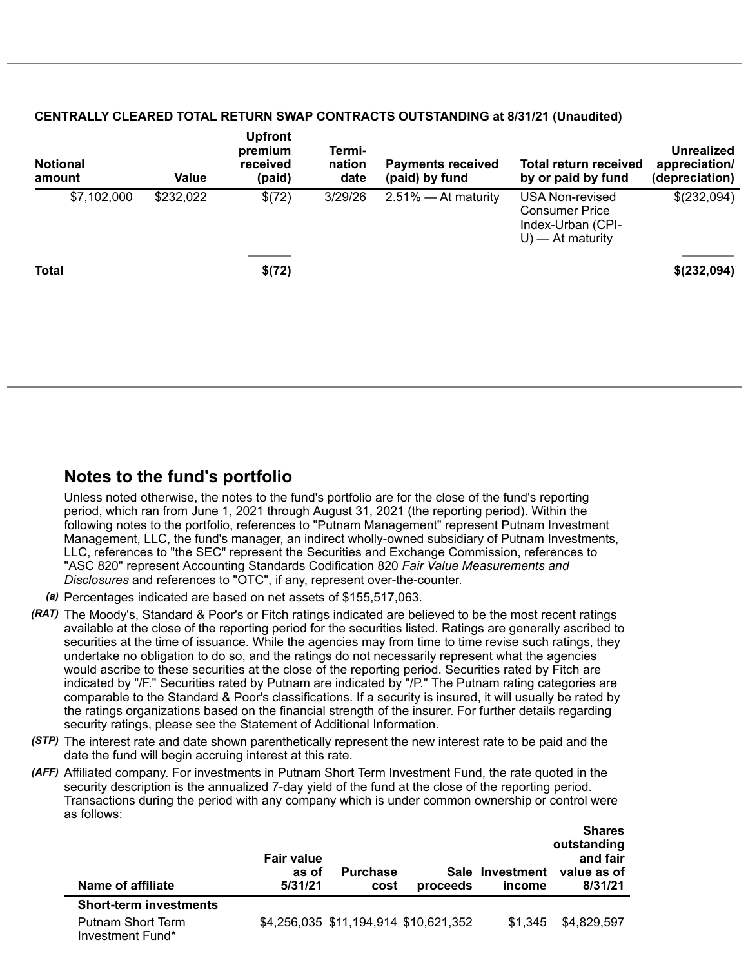| <b>Notional</b><br>amount | <b>Value</b> | <b>Upfront</b><br>premium<br>received<br>(paid) | Termi-<br>nation<br>date | <b>Payments received</b><br>(paid) by fund | Total return received<br>by or paid by fund                                                 | Unrealized<br>appreciation/<br>(depreciation) |
|---------------------------|--------------|-------------------------------------------------|--------------------------|--------------------------------------------|---------------------------------------------------------------------------------------------|-----------------------------------------------|
| \$7,102,000               | \$232,022    | \$(72)                                          | 3/29/26                  | $2.51\%$ - At maturity                     | <b>USA Non-revised</b><br><b>Consumer Price</b><br>Index-Urban (CPI-<br>$U$ ) — At maturity | \$(232,094)                                   |
| <b>Total</b>              |              | \$(72)                                          |                          |                                            |                                                                                             | \$(232,094)                                   |
|                           |              |                                                 |                          |                                            |                                                                                             |                                               |

#### **CENTRALLY CLEARED TOTAL RETURN SWAP CONTRACTS OUTSTANDING at 8/31/21 (Unaudited)**

# **Notes to the fund's portfolio**

Unless noted otherwise, the notes to the fund's portfolio are for the close of the fund's reporting period, which ran from June 1, 2021 through August 31, 2021 (the reporting period). Within the following notes to the portfolio, references to "Putnam Management" represent Putnam Investment Management, LLC, the fund's manager, an indirect wholly-owned subsidiary of Putnam Investments, LLC, references to "the SEC" represent the Securities and Exchange Commission, references to "ASC 820" represent Accounting Standards Codification 820 *Fair Value Measurements and Disclosures* and references to "OTC", if any, represent over-the-counter.

- *(a)* Percentages indicated are based on net assets of \$155,517,063.
- *(RAT)* The Moody's, Standard & Poor's or Fitch ratings indicated are believed to be the most recent ratings available at the close of the reporting period for the securities listed. Ratings are generally ascribed to securities at the time of issuance. While the agencies may from time to time revise such ratings, they undertake no obligation to do so, and the ratings do not necessarily represent what the agencies would ascribe to these securities at the close of the reporting period. Securities rated by Fitch are indicated by "/F." Securities rated by Putnam are indicated by "/P." The Putnam rating categories are comparable to the Standard & Poor's classifications. If a security is insured, it will usually be rated by the ratings organizations based on the financial strength of the insurer. For further details regarding security ratings, please see the Statement of Additional Information.
- *(STP)* The interest rate and date shown parenthetically represent the new interest rate to be paid and the date the fund will begin accruing interest at this rate.
- *(AFF)* Affiliated company. For investments in Putnam Short Term Investment Fund, the rate quoted in the security description is the annualized 7-day yield of the fund at the close of the reporting period. Transactions during the period with any company which is under common ownership or control were as follows:

| Name of affiliate                            | <b>Fair value</b><br>as of<br>5/31/21 | <b>Purchase</b><br>cost | proceeds                              | Sale Investment<br>income | outstanding<br>and fair<br>value as of<br>8/31/21 |
|----------------------------------------------|---------------------------------------|-------------------------|---------------------------------------|---------------------------|---------------------------------------------------|
| <b>Short-term investments</b>                |                                       |                         |                                       |                           |                                                   |
| <b>Putnam Short Term</b><br>Investment Fund* |                                       |                         | \$4,256,035 \$11,194,914 \$10,621,352 | \$1.345                   | \$4,829,597                                       |

**Shares**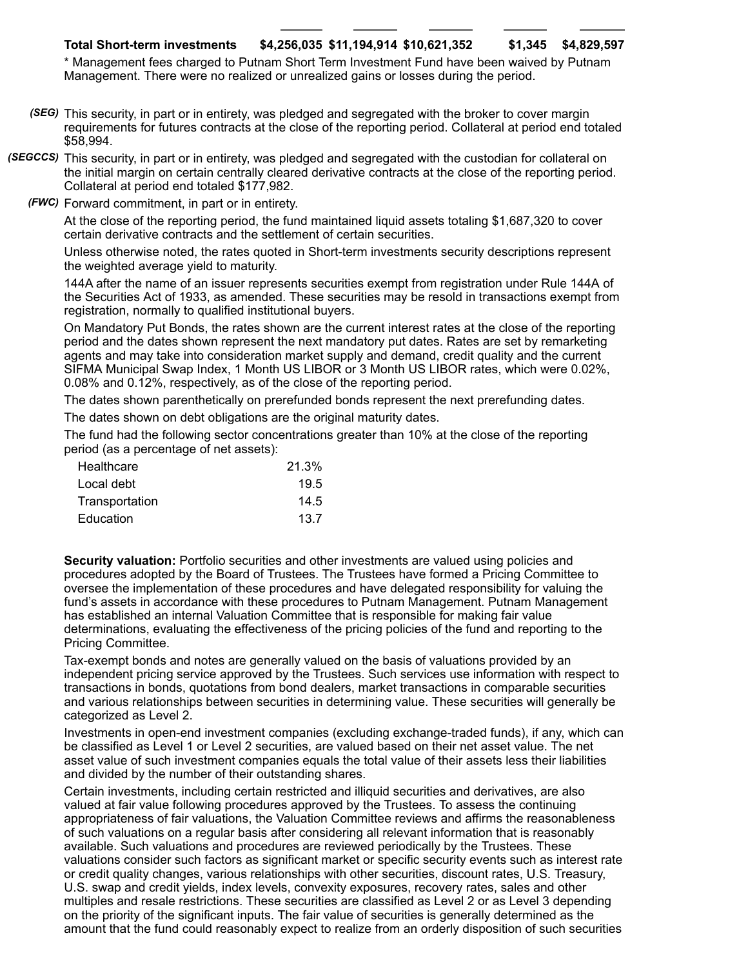### **Total Short-term investments \$4,256,035 \$11,194,914 \$10,621,352 \$1,345 \$4,829,597**

\* Management fees charged to Putnam Short Term Investment Fund have been waived by Putnam Management. There were no realized or unrealized gains or losses during the period.

- *(SEG)* This security, in part or in entirety, was pledged and segregated with the broker to cover margin requirements for futures contracts at the close of the reporting period. Collateral at period end totaled \$58,994.
- *(SEGCCS)* This security, in part or in entirety, was pledged and segregated with the custodian for collateral on the initial margin on certain centrally cleared derivative contracts at the close of the reporting period. Collateral at period end totaled \$177,982.
	- *(FWC)* Forward commitment, in part or in entirety.

At the close of the reporting period, the fund maintained liquid assets totaling \$1,687,320 to cover certain derivative contracts and the settlement of certain securities.

Unless otherwise noted, the rates quoted in Short-term investments security descriptions represent the weighted average yield to maturity.

144A after the name of an issuer represents securities exempt from registration under Rule 144A of the Securities Act of 1933, as amended. These securities may be resold in transactions exempt from registration, normally to qualified institutional buyers.

On Mandatory Put Bonds, the rates shown are the current interest rates at the close of the reporting period and the dates shown represent the next mandatory put dates. Rates are set by remarketing agents and may take into consideration market supply and demand, credit quality and the current SIFMA Municipal Swap Index, 1 Month US LIBOR or 3 Month US LIBOR rates, which were 0.02%, 0.08% and 0.12%, respectively, as of the close of the reporting period.

The dates shown parenthetically on prerefunded bonds represent the next prerefunding dates.

The dates shown on debt obligations are the original maturity dates.

The fund had the following sector concentrations greater than 10% at the close of the reporting period (as a percentage of net assets):

| Healthcare     | 21.3% |
|----------------|-------|
| Local debt     | 19.5  |
| Transportation | 14.5  |
| Education      | 13.7  |

**Security valuation:** Portfolio securities and other investments are valued using policies and procedures adopted by the Board of Trustees. The Trustees have formed a Pricing Committee to oversee the implementation of these procedures and have delegated responsibility for valuing the fund's assets in accordance with these procedures to Putnam Management. Putnam Management has established an internal Valuation Committee that is responsible for making fair value determinations, evaluating the effectiveness of the pricing policies of the fund and reporting to the Pricing Committee.

Tax-exempt bonds and notes are generally valued on the basis of valuations provided by an independent pricing service approved by the Trustees. Such services use information with respect to transactions in bonds, quotations from bond dealers, market transactions in comparable securities and various relationships between securities in determining value. These securities will generally be categorized as Level 2.

Investments in open-end investment companies (excluding exchange-traded funds), if any, which can be classified as Level 1 or Level 2 securities, are valued based on their net asset value. The net asset value of such investment companies equals the total value of their assets less their liabilities and divided by the number of their outstanding shares.

Certain investments, including certain restricted and illiquid securities and derivatives, are also valued at fair value following procedures approved by the Trustees. To assess the continuing appropriateness of fair valuations, the Valuation Committee reviews and affirms the reasonableness of such valuations on a regular basis after considering all relevant information that is reasonably available. Such valuations and procedures are reviewed periodically by the Trustees. These valuations consider such factors as significant market or specific security events such as interest rate or credit quality changes, various relationships with other securities, discount rates, U.S. Treasury, U.S. swap and credit yields, index levels, convexity exposures, recovery rates, sales and other multiples and resale restrictions. These securities are classified as Level 2 or as Level 3 depending on the priority of the significant inputs. The fair value of securities is generally determined as the amount that the fund could reasonably expect to realize from an orderly disposition of such securities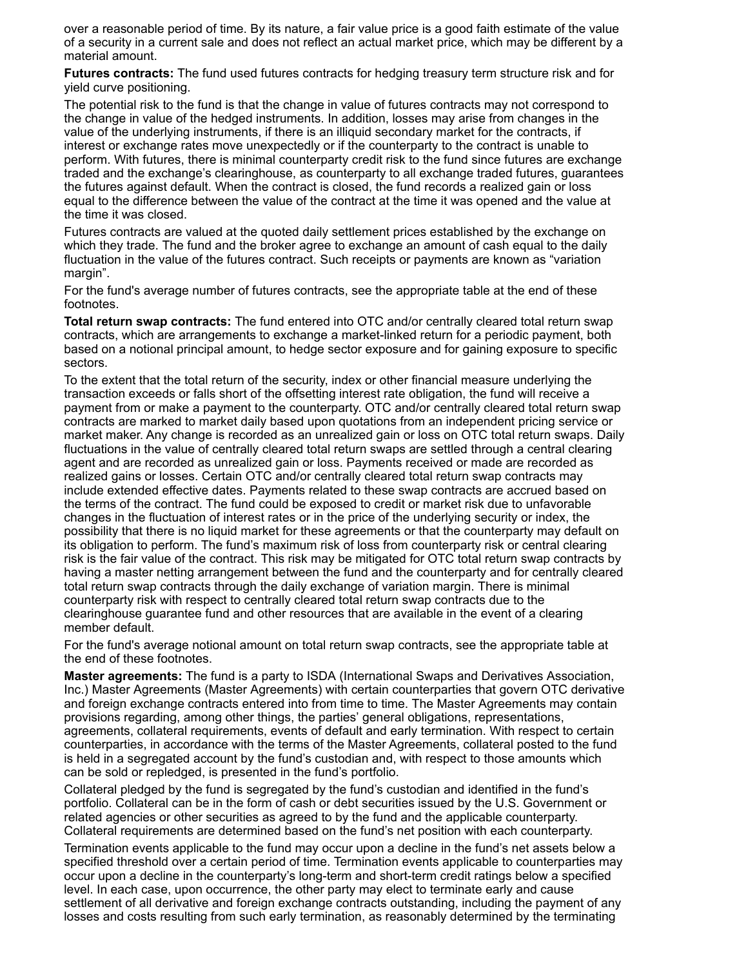over a reasonable period of time. By its nature, a fair value price is a good faith estimate of the value of a security in a current sale and does not reflect an actual market price, which may be different by a material amount.

**Futures contracts:** The fund used futures contracts for hedging treasury term structure risk and for yield curve positioning.

The potential risk to the fund is that the change in value of futures contracts may not correspond to the change in value of the hedged instruments. In addition, losses may arise from changes in the value of the underlying instruments, if there is an illiquid secondary market for the contracts, if interest or exchange rates move unexpectedly or if the counterparty to the contract is unable to perform. With futures, there is minimal counterparty credit risk to the fund since futures are exchange traded and the exchange's clearinghouse, as counterparty to all exchange traded futures, guarantees the futures against default. When the contract is closed, the fund records a realized gain or loss equal to the difference between the value of the contract at the time it was opened and the value at the time it was closed.

Futures contracts are valued at the quoted daily settlement prices established by the exchange on which they trade. The fund and the broker agree to exchange an amount of cash equal to the daily fluctuation in the value of the futures contract. Such receipts or payments are known as "variation margin".

For the fund's average number of futures contracts, see the appropriate table at the end of these footnotes.

**Total return swap contracts:** The fund entered into OTC and/or centrally cleared total return swap contracts, which are arrangements to exchange a market-linked return for a periodic payment, both based on a notional principal amount, to hedge sector exposure and for gaining exposure to specific sectors.

To the extent that the total return of the security, index or other financial measure underlying the transaction exceeds or falls short of the offsetting interest rate obligation, the fund will receive a payment from or make a payment to the counterparty. OTC and/or centrally cleared total return swap contracts are marked to market daily based upon quotations from an independent pricing service or market maker. Any change is recorded as an unrealized gain or loss on OTC total return swaps. Daily fluctuations in the value of centrally cleared total return swaps are settled through a central clearing agent and are recorded as unrealized gain or loss. Payments received or made are recorded as realized gains or losses. Certain OTC and/or centrally cleared total return swap contracts may include extended effective dates. Payments related to these swap contracts are accrued based on the terms of the contract. The fund could be exposed to credit or market risk due to unfavorable changes in the fluctuation of interest rates or in the price of the underlying security or index, the possibility that there is no liquid market for these agreements or that the counterparty may default on its obligation to perform. The fund's maximum risk of loss from counterparty risk or central clearing risk is the fair value of the contract. This risk may be mitigated for OTC total return swap contracts by having a master netting arrangement between the fund and the counterparty and for centrally cleared total return swap contracts through the daily exchange of variation margin. There is minimal counterparty risk with respect to centrally cleared total return swap contracts due to the clearinghouse guarantee fund and other resources that are available in the event of a clearing member default.

For the fund's average notional amount on total return swap contracts, see the appropriate table at the end of these footnotes.

**Master agreements:** The fund is a party to ISDA (International Swaps and Derivatives Association, Inc.) Master Agreements (Master Agreements) with certain counterparties that govern OTC derivative and foreign exchange contracts entered into from time to time. The Master Agreements may contain provisions regarding, among other things, the parties' general obligations, representations, agreements, collateral requirements, events of default and early termination. With respect to certain counterparties, in accordance with the terms of the Master Agreements, collateral posted to the fund is held in a segregated account by the fund's custodian and, with respect to those amounts which can be sold or repledged, is presented in the fund's portfolio.

Collateral pledged by the fund is segregated by the fund's custodian and identified in the fund's portfolio. Collateral can be in the form of cash or debt securities issued by the U.S. Government or related agencies or other securities as agreed to by the fund and the applicable counterparty. Collateral requirements are determined based on the fund's net position with each counterparty.

Termination events applicable to the fund may occur upon a decline in the fund's net assets below a specified threshold over a certain period of time. Termination events applicable to counterparties may occur upon a decline in the counterparty's long-term and short-term credit ratings below a specified level. In each case, upon occurrence, the other party may elect to terminate early and cause settlement of all derivative and foreign exchange contracts outstanding, including the payment of any losses and costs resulting from such early termination, as reasonably determined by the terminating